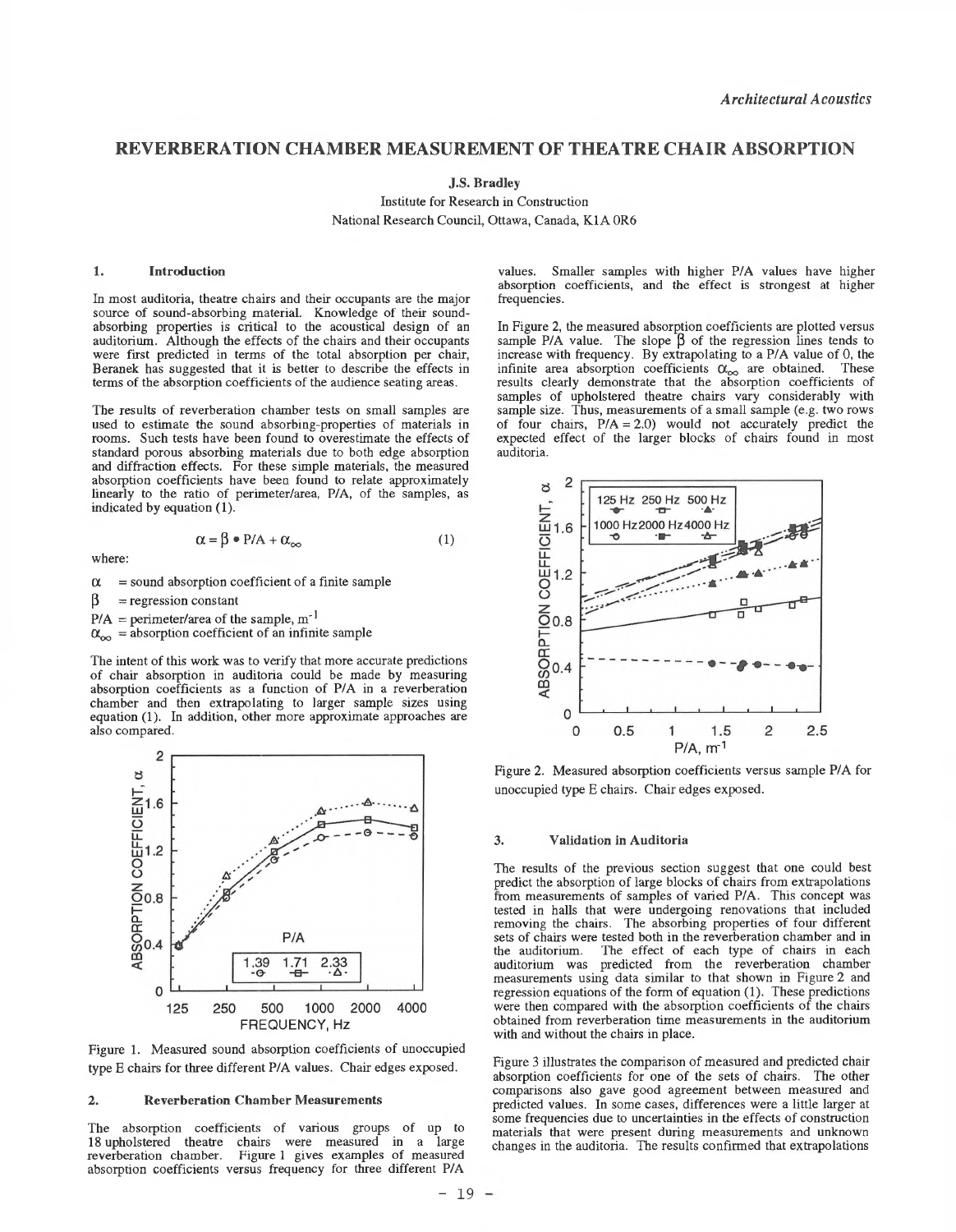# **REVERBERATION CHAMBER MEASUREMENT OF THEATRE CHAIR ABSORPTION**

**J.S. Bradley**

Institute for Research in Construction National Research Council, Ottawa, Canada, K1A 0R6

## **1. Introduction**

In most auditoria, theatre chairs and their occupants are the major source of sound-absorbing material. Knowledge of their soundabsorbing properties is critical to the acoustical design of an auditorium. Although the effects of the chairs and their occupants were first predicted in terms of the total absorption per chair, Beranek has suggested that it is better to describe the effects in terms of the absorption coefficients of the audience seating areas.

The results of reverberation chamber tests on small samples are used to estimate the sound absorbing-properties of materials in rooms. Such tests have been found to overestimate the effects of standard porous absorbing materials due to both edge absorption and diffraction effects. For these simple materials, the measured absorption coefficients have been found to relate approximately linearly to the ratio of perimeter/area, P/A, of the samples, as indicated by equation (1).

$$
\alpha = \beta \bullet P/A + \alpha_{\infty} \tag{1}
$$

where:

 $\alpha$  = sound absorption coefficient of a finite sample

 $\beta$  = regression constant

 $P/A =$  perimeter/area of the sample, m<sup>-1</sup>

 $\alpha_{\infty}$  = absorption coefficient of an infinite sample

The intent of this work was to verify that more accurate predictions of chair absorption in auditoria could be made by measuring absorption coefficients as a function of P/A in a reverberation chamber and then extrapolating to larger sample sizes using equation (1). In addition, other more approximate approaches are also compared.



Figure 1. Measured sound absorption coefficients of unoccupied type E chairs for three different P/A values. Chair edges exposed.

#### **2. Reverberation Chamber Measurements**

The absorption coefficients of various groups of up to 18 upholstered theatre chairs were measured in a large reverberation chamber. Figure 1 gives examples of measured absorption coefficients versus frequency for three different P/A

values. Smaller samples with higher P/A values have higher absorption coefficients, and the effect is strongest at higher frequencies.

In Figure 2, the measured absorption coefficients are plotted versus sample P/A value. The slope  $\beta$  of the regression lines tends to increase with frequency. By extrapolating to a P/A value of 0, the infinite area absorption coefficients  $\alpha_{\infty}$  are obtained. These results clearly demonstrate that the absorption coefficients of samples of upholstered theatre chairs vary considerably with sample size. Thus, measurements of a small sample (e.g. two rows of four chairs,  $P/A = 2.0$ ) would not accurately predict the expected effect of the larger blocks of chairs found in most auditoria.



Figure 2. Measured absorption coefficients versus sample P/A for unoccupied type E chairs. Chair edges exposed.

### **3. Validation in Auditoria**

The results of the previous section suggest that one could best predict the absorption of large blocks of chairs from extrapolations from measurements of samples of varied **P/A.** This concept was tested in halls that were undergoing renovations that included removing the chairs. The absorbing properties of four different sets of chairs were tested both in the reverberation chamber and in the auditorium. The effect of each type of chairs in each The effect of each type of chairs in each auditorium was predicted from the reverberation chamber measurements using data similar to that shown in Figure 2 and regression equations of the form of equation (1). These predictions were then compared with the absorption coefficients of the chairs obtained from reverberation time measurements in the auditorium with and without the chairs in place.

Figure 3 illustrates the comparison of measured and predicted chair absorption coefficients for one of the sets of chairs. The other comparisons also gave good agreement between measured and predicted values. In some cases, differences were a little larger at some frequencies due to uncertainties in the effects of construction materials that were present during measurements and unknown changes in the auditoria. The results confirmed that extrapolations